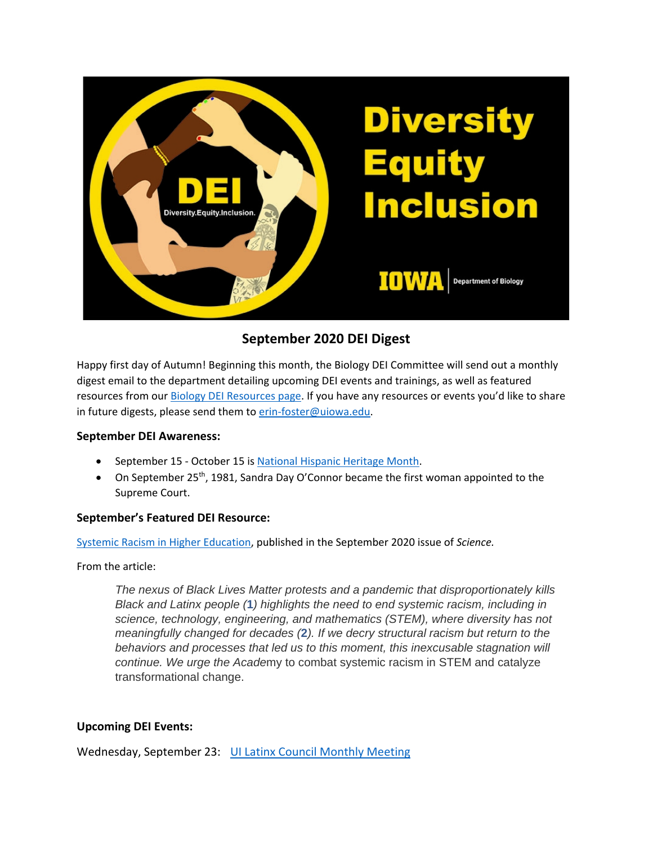

# **September 2020 DEI Digest**

Happy first day of Autumn! Beginning this month, the Biology DEI Committee will send out a monthly digest email to the department detailing upcoming DEI events and trainings, as well as featured resources from our [Biology DEI Resources page.](https://biology.uiowa.edu/about/diversity-equity-and-inclusion) If you have any resources or events you'd like to share in future digests, please send them to [erin-foster@uiowa.edu.](mailto:erin-foster@uiowa.edu)

## **September DEI Awareness:**

- September 15 October 15 is [National Hispanic Heritage Month.](https://hispanicheritagemonth.gov/)
- On September 25<sup>th</sup>, 1981, Sandra Day O'Connor became the first woman appointed to the Supreme Court.

#### **September's Featured DEI Resource:**

[Systemic Racism in Higher Education,](https://science.sciencemag.org/content/369/6510/1440.2) published in the September 2020 issue of *Science.*

From the article:

*The nexus of Black Lives Matter protests and a pandemic that disproportionately kills Black and Latinx people (***[1](https://science.sciencemag.org/content/369/6510/1440.2#ref-1)***) highlights the need to end systemic racism, including in science, technology, engineering, and mathematics (STEM), where diversity has not meaningfully changed for decades (***[2](https://science.sciencemag.org/content/369/6510/1440.2#ref-2)***). If we decry structural racism but return to the behaviors and processes that led us to this moment, this inexcusable stagnation will continue. We urge the Acade*my to combat systemic racism in STEM and catalyze transformational change.

## **Upcoming DEI Events:**

Wednesday, September 23: [UI Latinx Council Monthly Meeting](https://diversity.uiowa.edu/event/57481/0)